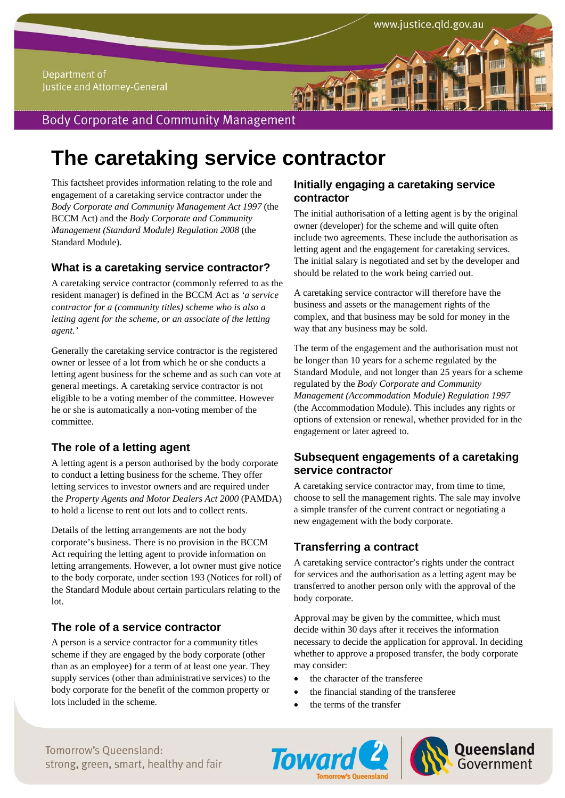# **The caretaking service contractor**

This factsheet provides information relating to the role and engagement of a caretaking service contractor under the *Body Corporate and Community Management Act 1997* (the BCCM Act) and the *Body Corporate and Community Management (Standard Module) Regulation 2008* (the Standard Module).

## **What is a caretaking service contractor?**

A caretaking service contractor (commonly referred to as the resident manager) is defined in the BCCM Act as *'a service contractor for a (community titles) scheme who is also a letting agent for the scheme, or an associate of the letting agent.'*

Generally the caretaking service contractor is the registered owner or lessee of a lot from which he or she conducts a letting agent business for the scheme and as such can vote at general meetings. A caretaking service contractor is not eligible to be a voting member of the committee. However he or she is automatically a non-voting member of the committee.

# **The role of a letting agent**

A letting agent is a person authorised by the body corporate to conduct a letting business for the scheme. They offer letting services to investor owners and are required under the *Property Agents and Motor Dealers Act 2000* (PAMDA) to hold a license to rent out lots and to collect rents.

Details of the letting arrangements are not the body corporate's business. There is no provision in the BCCM Act requiring the letting agent to provide information on letting arrangements. However, a lot owner must give notice to the body corporate, under section 193 (Notices for roll) of the Standard Module about certain particulars relating to the lot.

# **The role of a service contractor**

A person is a service contractor for a community titles scheme if they are engaged by the body corporate (other than as an employee) for a term of at least one year. They supply services (other than administrative services) to the body corporate for the benefit of the common property or lots included in the scheme.

## **Initially engaging a caretaking service contractor**

The initial authorisation of a letting agent is by the original owner (developer) for the scheme and will quite often include two agreements. These include the authorisation as letting agent and the engagement for caretaking services. The initial salary is negotiated and set by the developer and should be related to the work being carried out.

www.justice.qld.gov.au

A caretaking service contractor will therefore have the business and assets or the management rights of the complex, and that business may be sold for money in the way that any business may be sold.

The term of the engagement and the authorisation must not be longer than 10 years for a scheme regulated by the Standard Module, and not longer than 25 years for a scheme regulated by the *Body Corporate and Community Management (Accommodation Module) Regulation 1997* (the Accommodation Module). This includes any rights or options of extension or renewal, whether provided for in the engagement or later agreed to.

## **Subsequent engagements of a caretaking service contractor**

A caretaking service contractor may, from time to time, choose to sell the management rights. The sale may involve a simple transfer of the current contract or negotiating a new engagement with the body corporate.

# **Transferring a contract**

A caretaking service contractor's rights under the contract for services and the authorisation as a letting agent may be transferred to another person only with the approval of the body corporate.

Approval may be given by the committee, which must decide within 30 days after it receives the information necessary to decide the application for approval. In deciding whether to approve a proposed transfer, the body corporate may consider:

- the character of the transferee
- the financial standing of the transferee
- the terms of the transfer

Tomorrow's Oueensland: strong, green, smart, healthy and fair



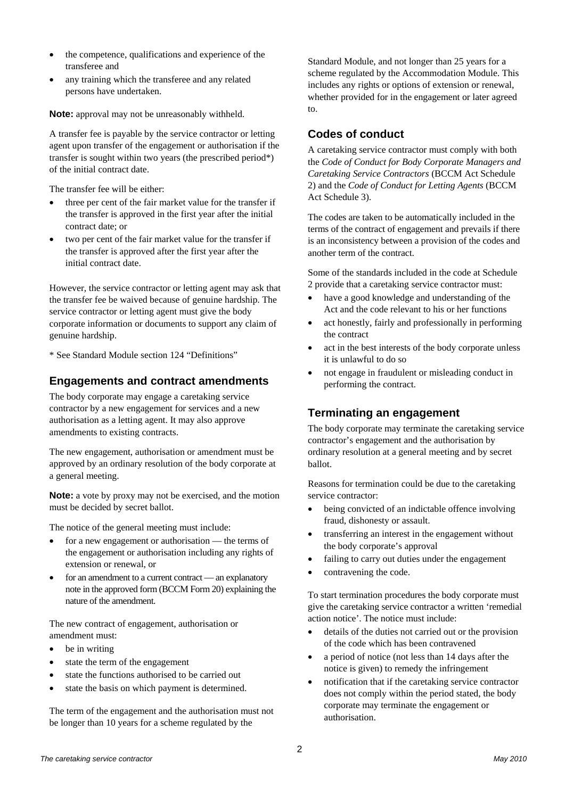- the competence, qualifications and experience of the transferee and
- any training which the transferee and any related persons have undertaken.

**Note:** approval may not be unreasonably withheld.

A transfer fee is payable by the service contractor or letting agent upon transfer of the engagement or authorisation if the transfer is sought within two years (the prescribed period\*) of the initial contract date.

The transfer fee will be either:

- three per cent of the fair market value for the transfer if the transfer is approved in the first year after the initial contract date; or
- two per cent of the fair market value for the transfer if the transfer is approved after the first year after the initial contract date.

However, the service contractor or letting agent may ask that the transfer fee be waived because of genuine hardship. The service contractor or letting agent must give the body corporate information or documents to support any claim of genuine hardship.

\* See Standard Module section 124 "Definitions"

## **Engagements and contract amendments**

The body corporate may engage a caretaking service contractor by a new engagement for services and a new authorisation as a letting agent. It may also approve amendments to existing contracts.

The new engagement, authorisation or amendment must be approved by an ordinary resolution of the body corporate at a general meeting.

**Note:** a vote by proxy may not be exercised, and the motion must be decided by secret ballot.

The notice of the general meeting must include:

- for a new engagement or authorisation the terms of the engagement or authorisation including any rights of extension or renewal, or
- for an amendment to a current contract an explanatory note in the approved form (BCCM Form 20) explaining the nature of the amendment.

The new contract of engagement, authorisation or amendment must:

- be in writing
- state the term of the engagement
- state the functions authorised to be carried out
- state the basis on which payment is determined.

The term of the engagement and the authorisation must not be longer than 10 years for a scheme regulated by the

Standard Module, and not longer than 25 years for a scheme regulated by the Accommodation Module. This includes any rights or options of extension or renewal, whether provided for in the engagement or later agreed to.

#### **Codes of conduct**

A caretaking service contractor must comply with both the *Code of Conduct for Body Corporate Managers and Caretaking Service Contractors* (BCCM Act Schedule 2) and the *Code of Conduct for Letting Agents* (BCCM Act Schedule 3).

The codes are taken to be automatically included in the terms of the contract of engagement and prevails if there is an inconsistency between a provision of the codes and another term of the contract.

Some of the standards included in the code at Schedule 2 provide that a caretaking service contractor must:

- have a good knowledge and understanding of the Act and the code relevant to his or her functions
- act honestly, fairly and professionally in performing the contract
- act in the best interests of the body corporate unless it is unlawful to do so
- not engage in fraudulent or misleading conduct in performing the contract.

# **Terminating an engagement**

The body corporate may terminate the caretaking service contractor's engagement and the authorisation by ordinary resolution at a general meeting and by secret ballot.

Reasons for termination could be due to the caretaking service contractor:

- being convicted of an indictable offence involving fraud, dishonesty or assault.
- transferring an interest in the engagement without the body corporate's approval
- failing to carry out duties under the engagement
- contravening the code.

To start termination procedures the body corporate must give the caretaking service contractor a written 'remedial action notice'. The notice must include:

- details of the duties not carried out or the provision of the code which has been contravened
- a period of notice (not less than 14 days after the notice is given) to remedy the infringement
- notification that if the caretaking service contractor does not comply within the period stated, the body corporate may terminate the engagement or authorisation.